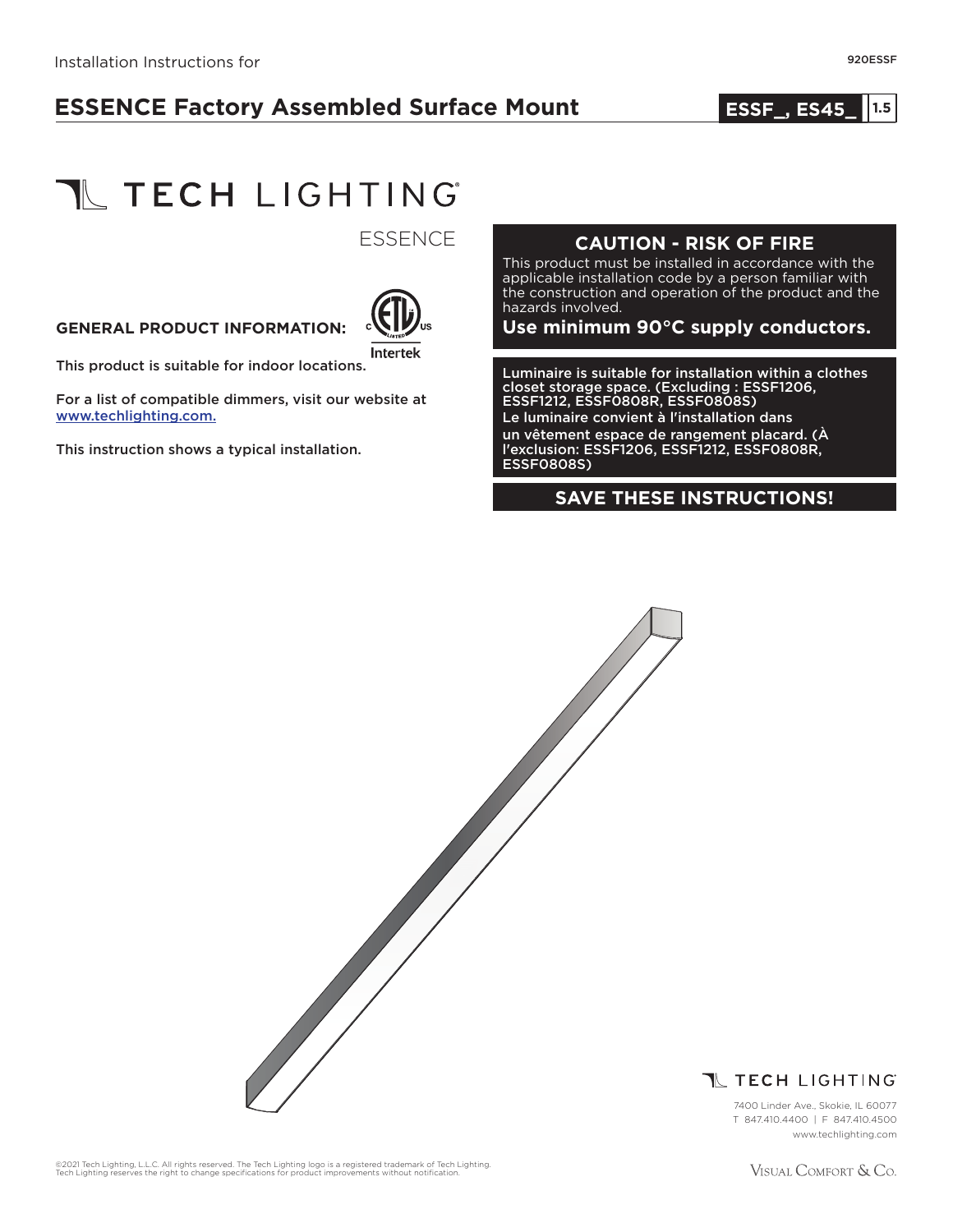# **ESSENCE Factory Assembled Surface Mount**

#### **1.0 ESSF\_, ES45\_ 1.5**



**ESSENCE** 



This product is suitable for indoor locations.

For a list of compatible dimmers, visit our website at www.techlighting.com.

This instruction shows a typical installation.

#### **CAUTION - RISK OF FIRE**

This product must be installed in accordance with the applicable installation code by a person familiar with the construction and operation of the product and the hazards involved.

GENERAL PRODUCT INFORMATION: **COLLE**<sup>US</sup> Use minimum 90°C supply conductors.

Luminaire is suitable for installation within a clothes closet storage space. (Excluding : ESSF1206, ESSF1212, ESSF0808R, ESSF0808S) Le luminaire convient à l'installation dans un vêtement espace de rangement placard. (À l'exclusion: ESSF1206, ESSF1212, ESSF0808R, ESSF0808S)

#### **SAVE THESE INSTRUCTIONS!**





7400 Linder Ave., Skokie, IL 60077 T 847.410.4400 | F 847.410.4500 www.techlighting.com

©2021 Tech Lighting, L.L.C. All rights reserved. The Tech Lighting logo is a registered trademark of Tech Lighting.<br>Tech Lighting reserves the right to change specifications for product improvements without notification.

VISUAL COMFORT & Co.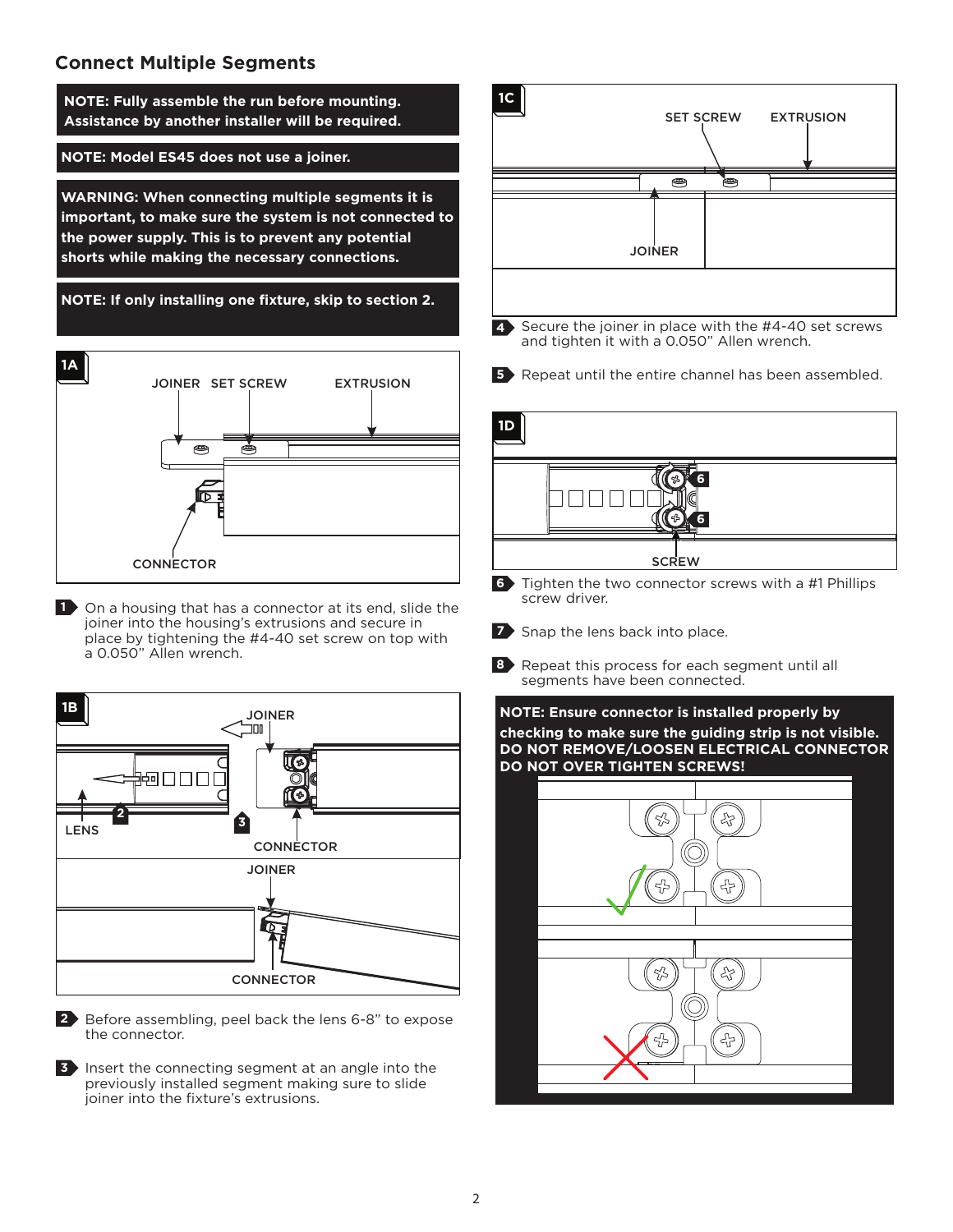## **Connect Multiple Segments**



Before assembling, peel back the lens 6-8" to expose **2** the connector.

**3** Insert the connecting segment at an angle into the previously installed segment making sure to slide joiner into the fixture's extrusions.

문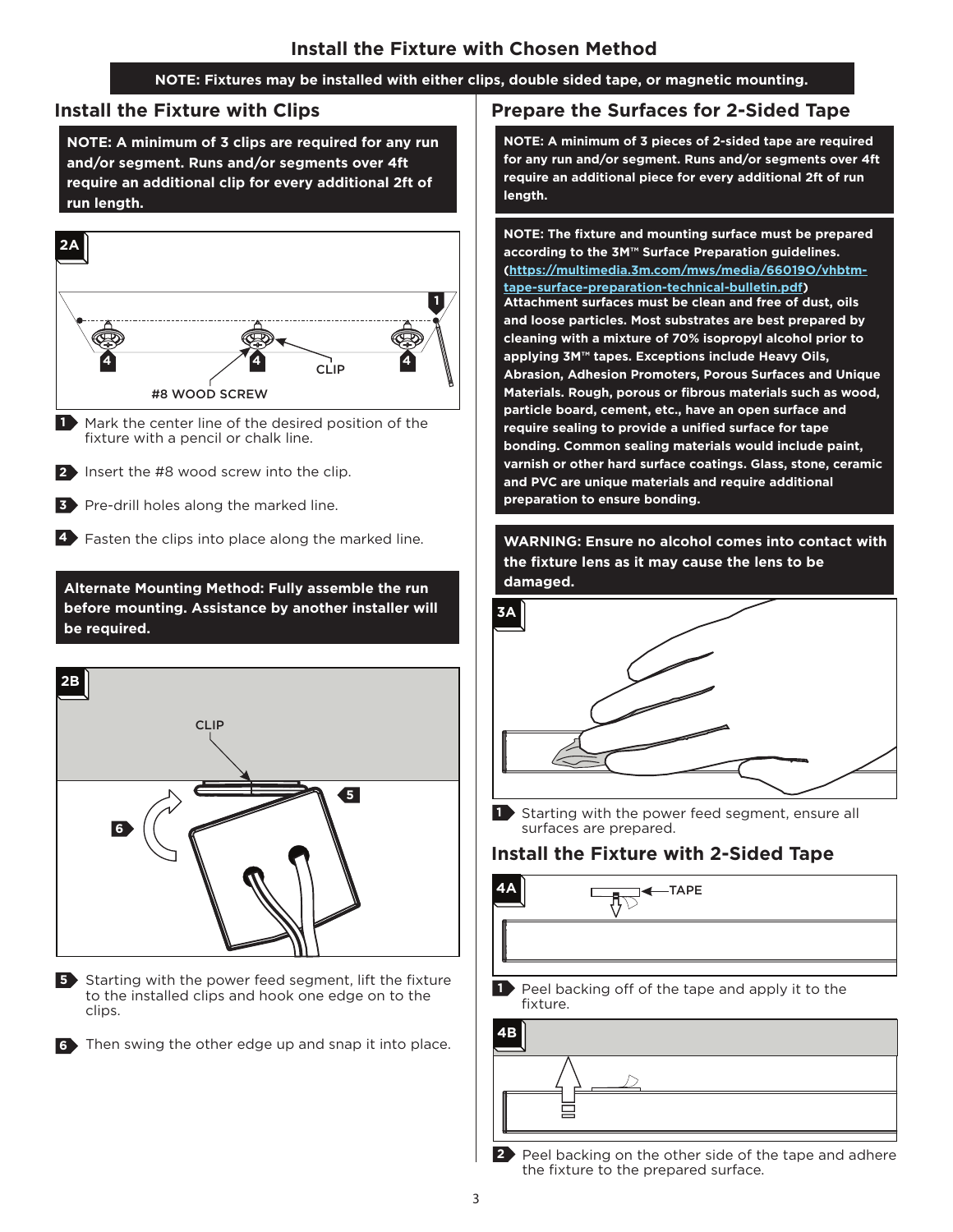#### **NOTE: Fixtures may be installed with either clips, double sided tape, or magnetic mounting.**

#### **Install the Fixture with Clips**

**NOTE: A minimum of 3 clips are required for any run and/or segment. Runs and/or segments over 4ft require an additional clip for every additional 2ft of run length.**



- Mark the center line of the desired position of the fixture with a pencil or chalk line. **1**
- **2** Insert the #8 wood screw into the clip.
- **3** Pre-drill holes along the marked line.

**4** Fasten the clips into place along the marked line.

**damaged. Alternate Mounting Method: Fully assemble the run before mounting. Assistance by another installer will be required.**



**5** Starting with the power feed segment, lift the fixture to the installed clips and hook one edge on to the clips.

Then swing the other edge up and snap it into place. **6**

#### **Prepare the Surfaces for 2-Sided Tape**

**NOTE: A minimum of 3 pieces of 2-sided tape are required for any run and/or segment. Runs and/or segments over 4ft require an additional piece for every additional 2ft of run length.**

**NOTE: The fixture and mounting surface must be prepared according to the 3M™ Surface Preparation guidelines. (https://multimedia.3m.com/mws/media/66019O/vhbtmtape-surface-preparation-technical-bulletin.pdf) Attachment surfaces must be clean and free of dust, oils and loose particles. Most substrates are best prepared by cleaning with a mixture of 70% isopropyl alcohol prior to applying 3M™ tapes. Exceptions include Heavy Oils, Abrasion, Adhesion Promoters, Porous Surfaces and Unique Materials. Rough, porous or fibrous materials such as wood, particle board, cement, etc., have an open surface and require sealing to provide a unified surface for tape bonding. Common sealing materials would include paint, varnish or other hard surface coatings. Glass, stone, ceramic and PVC are unique materials and require additional preparation to ensure bonding.**

**WARNING: Ensure no alcohol comes into contact with the fixture lens as it may cause the lens to be**



**1** Starting with the power feed segment, ensure all surfaces are prepared.

## **Install the Fixture with 2-Sided Tape**



 $-TAPE$ 

Peel backing off of the tape and apply it to the fixture. **1**



Peel backing on the other side of the tape and adhere the fixture to the prepared surface. **2**